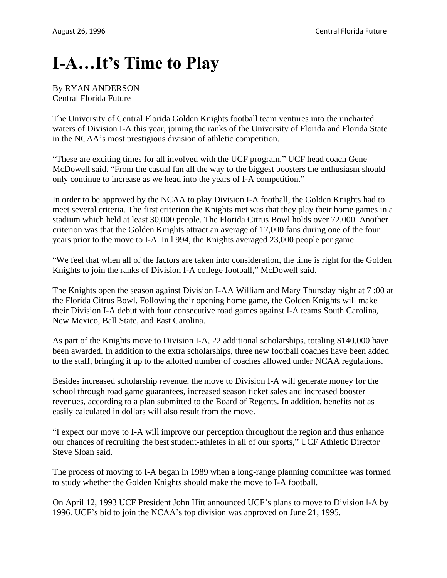## **I-A…It's Time to Play**

## By RYAN ANDERSON Central Florida Future

The University of Central Florida Golden Knights football team ventures into the uncharted waters of Division I-A this year, joining the ranks of the University of Florida and Florida State in the NCAA's most prestigious division of athletic competition.

"These are exciting times for all involved with the UCF program," UCF head coach Gene McDowell said. "From the casual fan all the way to the biggest boosters the enthusiasm should only continue to increase as we head into the years of I-A competition."

In order to be approved by the NCAA to play Division I-A football, the Golden Knights had to meet several criteria. The first criterion the Knights met was that they play their home games in a stadium which held at least 30,000 people. The Florida Citrus Bowl holds over 72,000. Another criterion was that the Golden Knights attract an average of 17,000 fans during one of the four years prior to the move to I-A. In l 994, the Knights averaged 23,000 people per game.

"We feel that when all of the factors are taken into consideration, the time is right for the Golden Knights to join the ranks of Division I-A college football," McDowell said.

The Knights open the season against Division I-AA William and Mary Thursday night at 7 :00 at the Florida Citrus Bowl. Following their opening home game, the Golden Knights will make their Division I-A debut with four consecutive road games against I-A teams South Carolina, New Mexico, Ball State, and East Carolina.

As part of the Knights move to Division I-A, 22 additional scholarships, totaling \$140,000 have been awarded. In addition to the extra scholarships, three new football coaches have been added to the staff, bringing it up to the allotted number of coaches allowed under NCAA regulations.

Besides increased scholarship revenue, the move to Division I-A will generate money for the school through road game guarantees, increased season ticket sales and increased booster revenues, according to a plan submitted to the Board of Regents. In addition, benefits not as easily calculated in dollars will also result from the move.

"I expect our move to I-A will improve our perception throughout the region and thus enhance our chances of recruiting the best student-athletes in all of our sports," UCF Athletic Director Steve Sloan said.

The process of moving to I-A began in 1989 when a long-range planning committee was formed to study whether the Golden Knights should make the move to I-A football.

On April 12, 1993 UCF President John Hitt announced UCF's plans to move to Division l-A by 1996. UCF's bid to join the NCAA's top division was approved on June 21, 1995.